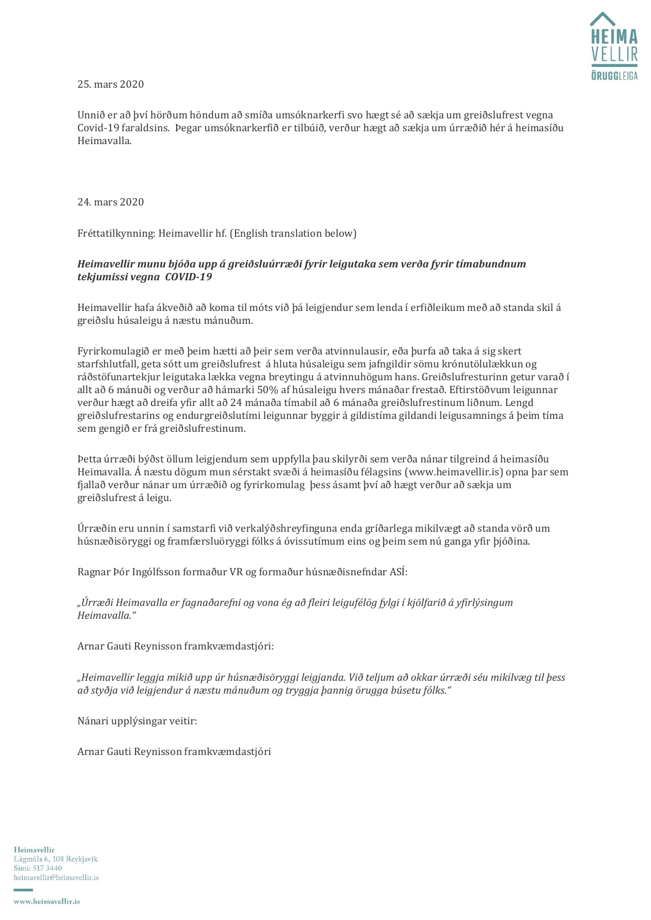25. mars 2020

Unnið er að því hörðum höndum að smíða umsóknarkerfi svo hægt sé að sækja um greiðslufrest vegna Covid-19 faraldsins. Þegar umsóknarkerfið er tilbúið, verður hægt að sækja um úrræðið hér á heimasíðu Heimavalla.

24. mars 2020

Fréttatilkynning: Heimavellir hf. (English translation below)

## *Heimavellir munu bjóða upp á greiðsluúrræði fyrir leigutaka sem verða fyrir tímabundnum tekjumissi vegna COVID-19*

Heimavellir hafa ákveðið að koma til móts við þá leigjendur sem lenda í erfiðleikum með að standa skil á greiðslu húsaleigu á næstu mánuðum.

Fyrirkomulagið er með þeim hætti að þeir sem verða atvinnulausir, eða þurfa að taka á sig skert starfshlutfall, geta sótt um greiðslufrest á hluta húsaleigu sem jafngildir sömu krónutölulækkun og ráðstöfunartekjur leigutaka lækka vegna breytingu á atvinnuhögum hans. Greiðslufresturinn getur varað í allt að 6 mánuði og verður að hámarki 50% af húsaleigu hvers mánaðar frestað. Eftirstöðvum leigunnar verður hægt að dreifa yfir allt að 24 mánaða tímabil að 6 mánaða greiðslufrestinum liðnum. Lengd greiðslufrestarins og endurgreiðslutími leigunnar byggir á gildistíma gildandi leigusamnings á þeim tíma sem gengið er frá greiðslufrestinum.

Þetta úrræði býðst öllum leigjendum sem uppfylla þau skilyrði sem verða nánar tilgreind á heimasíðu Heimavalla. Á næstu dögum mun sérstakt svæði á heimasíðu félagsins (www.heimavellir.is) opna þar sem fjallað verður nánar um úrræðið og fyrirkomulag þess ásamt því að hægt verður að sækja um greiðslufrest á leigu.

Úrræðin eru unnin í samstarfi við verkalýðshreyfinguna enda gríðarlega mikilvægt að standa vörð um húsnæðisöryggi og framfærsluöryggi fólks á óvissutímum eins og þeim sem nú ganga yfir þjóðina.

Ragnar Þór Ingólfsson formaður VR og formaður húsnæðisnefndar ASÍ:

*"Úrræði Heimavalla er fagnaðarefni og vona ég að fleiri leigufélög fylgi í kjölfarið á yfirlýsingum Heimavalla."*

Arnar Gauti Reynisson framkvæmdastjóri:

*"Heimavellir leggja mikið upp úr húsnæðisöryggi leigjanda. Við teljum að okkar úrræði séu mikilvæg til þess að styðja við leigjendur á næstu mánuðum og tryggja þannig örugga búsetu fólks."*

Nánari upplýsingar veitir:

Arnar Gauti Reynisson framkvæmdastjóri